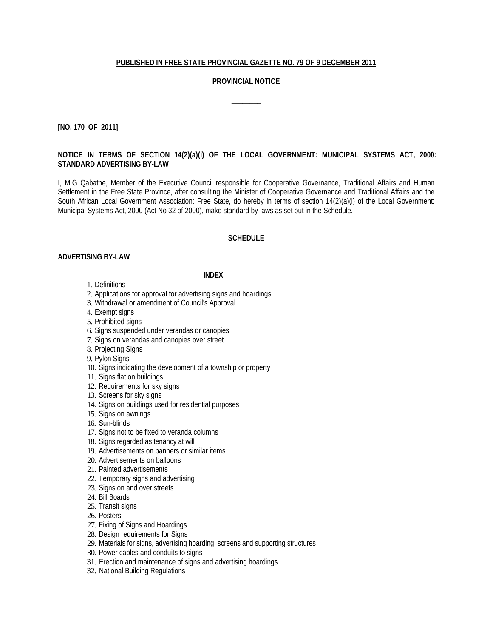#### **PUBLISHED IN FREE STATE PROVINCIAL GAZETTE NO. 79 OF 9 DECEMBER 2011**

#### **PROVINCIAL NOTICE**

 $\overline{\phantom{a}}$ 

**[NO. 170 OF 2011]**

### **NOTICE IN TERMS OF SECTION 14(2)(a)(i) OF THE LOCAL GOVERNMENT: MUNICIPAL SYSTEMS ACT, 2000: STANDARD ADVERTISING BY-LAW**

I, M.G Qabathe, Member of the Executive Council responsible for Cooperative Governance, Traditional Affairs and Human Settlement in the Free State Province, after consulting the Minister of Cooperative Governance and Traditional Affairs and the South African Local Government Association: Free State, do hereby in terms of section 14(2)(a)(i) of the Local Government: Municipal Systems Act, 2000 (Act No 32 of 2000), make standard by-laws as set out in the Schedule.

#### **SCHEDULE**

#### **ADVERTISING BY-LAW**

#### **INDEX**

- 1. Definitions
- 2. Applications for approval for advertising signs and hoardings
- 3. Withdrawal or amendment of Council's Approval
- 4. Exempt signs
- 5. Prohibited signs
- 6. Signs suspended under verandas or canopies
- 7. Signs on verandas and canopies over street
- 8. Projecting Signs
- 9. Pylon Signs
- 10. Signs indicating the development of a township or property
- 11. Signs flat on buildings
- 12. Requirements for sky signs
- 13. Screens for sky signs
- 14. Signs on buildings used for residential purposes
- 15. Signs on awnings
- 16. Sun-blinds
- 17. Signs not to be fixed to veranda columns
- 18. Signs regarded as tenancy at will
- 19. Advertisements on banners or similar items
- 20. Advertisements on balloons
- 21. Painted advertisements
- 22. Temporary signs and advertising
- 23. Signs on and over streets
- 24. Bill Boards
- 25. Transit signs
- 26. Posters
- 27. Fixing of Signs and Hoardings
- 28. Design requirements for Signs
- 29. Materials for signs, advertising hoarding, screens and supporting structures
- 30. Power cables and conduits to signs
- 31. Erection and maintenance of signs and advertising hoardings
- 32. National Building Regulations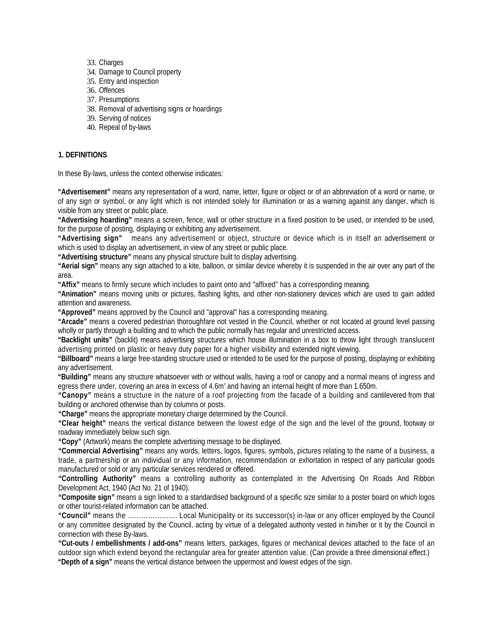- 33. Charges
- 34. Damage to Council property
- 35. Entry and inspection
- 36. Offences
- 37. Presumptions
- 38. Removal of advertising signs or hoardings
- 39. Serving of notices
- 40. Repeal of by-laws

### **1. DEFINITIONS**

In these By-laws, unless the context otherwise indicates:

**"Advertisement"** means any representation of a word, name, letter, figure or object or of an abbreviation of a word or name, or of any sign or symbol, or any light which is not intended solely for illumination or as a warning against any danger, which is visible from any street or public place.

**"Advertising hoarding"** means a screen, fence, wall or other structure in a fixed position to be used, or intended to be used, for the purpose of posting, displaying or exhibiting any advertisement.

**"Advertising sign"** means any advertisement or object, structure or device which is in itself an advertisement or which is used to display an advertisement, in view of any street or public place.

**"Advertising structure"** means any physical structure built to display advertising.

**"Aerial sign"** means any sign attached to a kite, balloon, or similar device whereby it is suspended in the air over any part of the area.

**"Affix"** means to firmly secure which includes to paint onto and "affixed" has a corresponding meaning.

**"Animation"** means moving units or pictures, flashing lights, and other non-stationery devices which are used to gain added attention and awareness.

**"Approved"** means approved by the Council and "approval" has a corresponding meaning.

**"Arcade"** means a covered pedestrian thoroughfare not vested in the Council, whether or not located at ground level passing wholly or partly through a building and to which the public normally has regular and unrestricted access.

**"Backlight units"** (backlit) means advertising structures which house illumination in a box to throw light through translucent advertising printed on plastic or heavy duty paper for a higher visibility and extended night viewing.

**"Billboard"** means a large free-standing structure used or intended to be used for the purpose of posting, displaying or exhibiting any advertisement.

**"Building"** means any structure whatsoever with or without walls, having a roof or canopy and a normal means of ingress and egress there under, covering an area in excess of 4.6m² and having an internal height of more than 1.650m.

**"Canopy"** means a structure in the nature of a roof projecting from the facade of a building and cantilevered from that building or anchored otherwise than by columns or posts.

**"Charge"** means the appropriate monetary charge determined by the Council.

**"Clear height"** means the vertical distance between the lowest edge of the sign and the level of the ground, footway or roadway immediately below such sign.

**"Copy"** (Artwork) means the complete advertising message to be displayed.

**"Commercial Advertising"** means any words, letters, logos, figures, symbols, pictures relating to the name of a business, a trade, a partnership or an individual or any information, recommendation or exhortation in respect of any particular goods manufactured or sold or any particular services rendered or offered.

**"Controlling Authority"** means a controlling authority as contemplated in the Advertising On Roads And Ribbon Development Act, 1940 (Act No. 21 of 1940).

**"Composite sign"** means a sign linked to a standardised background of a specific size similar to a poster board on which logos or other tourist-related information can be attached.

**"Council"** means the …………………. Local Municipality or its successor(s) in-law or any officer employed by the Council or any committee designated by the Council, acting by virtue of a delegated authority vested in him/her or it by the Council in connection with these By-laws.

**"Cut-outs / embellishments / add-ons"** means letters, packages, figures or mechanical devices attached to the face of an outdoor sign which extend beyond the rectangular area for greater attention value. (Can provide a three dimensional effect.) **"Depth of a sign"** means the vertical distance between the uppermost and lowest edges of the sign.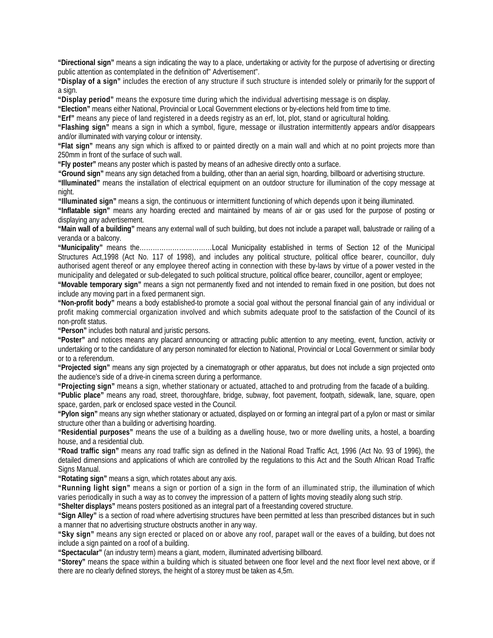**"Directional sign"** means a sign indicating the way to a place, undertaking or activity for the purpose of advertising or directing public attention as contemplated in the definition of" Advertisement".

**"Display of a sign"** includes the erection of any structure if such structure is intended solely or primarily for the support of a sign.

**"Display period"** means the exposure time during which the individual advertising message is on display.

**"Election"** means either National, Provincial or Local Government elections or by-elections held from time to time.

**"Erf"** means any piece of land registered in a deeds registry as an erf, lot, plot, stand or agricultural holding.

**"Flashing sign"** means a sign in which a symbol, figure, message or illustration intermittently appears and/or disappears and/or illuminated with varying colour or intensity.

**"Flat sign"** means any sign which is affixed to or painted directly on a main wall and which at no point projects more than 250mm in front of the surface of such wall.

**"Fly poster"** means any poster which is pasted by means of an adhesive directly onto a surface.

**"Ground sign"** means any sign detached from a building, other than an aerial sign, hoarding, billboard or advertising structure.

**"Illuminated"** means the installation of electrical equipment on an outdoor structure for illumination of the copy message at night.

**"Illuminated sign"** means a sign, the continuous or intermittent functioning of which depends upon it being illuminated.

**"Inflatable sign"** means any hoarding erected and maintained by means of air or gas used for the purpose of posting or displaying any advertisement.

**"Main wall of a building"** means any external wall of such building, but does not include a parapet wall, balustrade or railing of a veranda or a balcony.

**"Municipality"** means the……………………………Local Municipality established in terms of Section 12 of the Municipal Structures Act,1998 (Act No. 117 of 1998), and includes any political structure, political office bearer, councillor, duly authorised agent thereof or any employee thereof acting in connection with these by-laws by virtue of a power vested in the municipality and delegated or sub-delegated to such political structure, political office bearer, councillor, agent or employee;

**"Movable temporary sign"** means a sign not permanently fixed and not intended to remain fixed in one position, but does not include any moving part in a fixed permanent sign.

**"Non-profit body"** means a body established-to promote a social goal without the personal financial gain of any individual or profit making commercial organization involved and which submits adequate proof to the satisfaction of the Council of its non-profit status.

**"Person"** includes both natural and juristic persons.

**"Poster"** and notices means any placard announcing or attracting public attention to any meeting, event, function, activity or undertaking or to the candidature of any person nominated for election to National, Provincial or Local Government or similar body or to a referendum.

**"Projected sign"** means any sign projected by a cinematograph or other apparatus, but does not include a sign projected onto the audience's side of a drive-in cinema screen during a performance.

**"Projecting sign"** means a sign, whether stationary or actuated, attached to and protruding from the facade of a building.

**"Public place"** means any road, street, thoroughfare, bridge, subway, foot pavement, footpath, sidewalk, lane, square, open space, garden, park or enclosed space vested in the Council.

**"Pylon sign"** means any sign whether stationary or actuated, displayed on or forming an integral part of a pylon or mast or similar structure other than a building or advertising hoarding.

**"Residential purposes"** means the use of a building as a dwelling house, two or more dwelling units, a hostel, a boarding house, and a residential club.

**"Road traffic sign"** means any road traffic sign as defined in the National Road Traffic Act, 1996 (Act No. 93 of 1996), the detailed dimensions and applications of which are controlled by the regulations to this Act and the South African Road Traffic Signs Manual.

**"Rotating sign"** means a sign, which rotates about any axis.

**"Running light sign"** means a sign or portion of a sign in the form of an illuminated strip, the illumination of which varies periodically in such a way as to convey the impression of a pattern of lights moving steadily along such strip.

**"Shelter displays"** means posters positioned as an integral part of a freestanding covered structure.

**"Sign Alley"** is a section of road where advertising structures have been permitted at less than prescribed distances but in such a manner that no advertising structure obstructs another in any way.

**"Sky sign"** means any sign erected or placed on or above any roof, parapet wall or the eaves of a building, but does not include a sign painted on a roof of a building.

**"Spectacular"** (an industry term) means a giant, modern, illuminated advertising billboard.

**"Storey"** means the space within a building which is situated between one floor level and the next floor level next above, or if there are no clearly defined storeys, the height of a storey must be taken as 4,5m.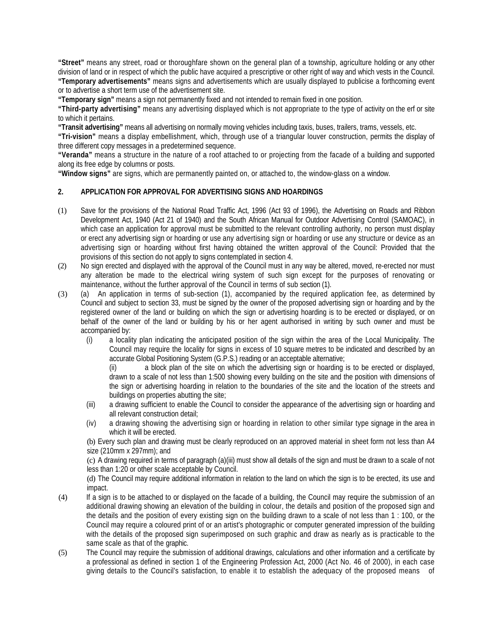**"Street"** means any street, road or thoroughfare shown on the general plan of a township, agriculture holding or any other division of land or in respect of which the public have acquired a prescriptive or other right of way and which vests in the Council. **"Temporary advertisements"** means signs and advertisements which are usually displayed to publicise a forthcoming event or to advertise a short term use of the advertisement site.

**"Temporary sign"** means a sign not permanently fixed and not intended to remain fixed in one position.

**"Third-party advertising"** means any advertising displayed which is not appropriate to the type of activity on the erf or site to which it pertains.

**"Transit advertising"** means all advertising on normally moving vehicles including taxis, buses, trailers, trams, vessels, etc.

**"Tri-vision"** means a display embellishment, which, through use of a triangular louver construction, permits the display of three different copy messages in a predetermined sequence.

**"Veranda"** means a structure in the nature of a roof attached to or projecting from the facade of a building and supported along its free edge by columns or posts.

**"Window signs"** are signs, which are permanently painted on, or attached to, the window-glass on a window.

### **2. APPLICATION FOR APPROVAL FOR ADVERTISING SIGNS AND HOARDINGS**

- (1) Save for the provisions of the National Road Traffic Act, 1996 (Act 93 of 1996), the Advertising on Roads and Ribbon Development Act, 1940 (Act 21 of 1940) and the South African Manual for Outdoor Advertising Control (SAMOAC), in which case an application for approval must be submitted to the relevant controlling authority, no person must display or erect any advertising sign or hoarding or use any advertising sign or hoarding or use any structure or device as an advertising sign or hoarding without first having obtained the written approval of the Council: Provided that the provisions of this section do not apply to signs contemplated in section 4.
- (2) No sign erected and displayed with the approval of the Council must in any way be altered, moved, re-erected nor must any alteration be made to the electrical wiring system of such sign except for the purposes of renovating or maintenance, without the further approval of the Council in terms of sub section (1).
- (3) (a) An application in terms of sub-section (1), accompanied by the required application fee, as determined by Council and subject to section 33, must be signed by the owner of the proposed advertising sign or hoarding and by the registered owner of the land or building on which the sign or advertising hoarding is to be erected or displayed, or on behalf of the owner of the land or building by his or her agent authorised in writing by such owner and must be accompanied by:
	- (i) a locality plan indicating the anticipated position of the sign within the area of the Local Municipality. The Council may require the locality for signs in excess of 10 square metres to be indicated and described by an accurate Global Positioning System (G.P.S.) reading or an acceptable alternative;

(ii) a block plan of the site on which the advertising sign or hoarding is to be erected or displayed, drawn to a scale of not less than 1:500 showing every building on the site and the position with dimensions of the sign or advertising hoarding in relation to the boundaries of the site and the location of the streets and buildings on properties abutting the site;

- (iii) a drawing sufficient to enable the Council to consider the appearance of the advertising sign or hoarding and all relevant construction detail;
- (iv) a drawing showing the advertising sign or hoarding in relation to other similar type signage in the area in which it will be erected.

(b) Every such plan and drawing must be clearly reproduced on an approved material in sheet form not less than A4 size (210mm x 297mm); and

(c) A drawing required in terms of paragraph (a)(iii) must show all details of the sign and must be drawn to a scale of not less than 1:20 or other scale acceptable by Council.

(d) The Council may require additional information in relation to the land on which the sign is to be erected, its use and impact.

- (4) If a sign is to be attached to or displayed on the facade of a building, the Council may require the submission of an additional drawing showing an elevation of the building in colour, the details and position of the proposed sign and the details and the position of every existing sign on the building drawn to a scale of not less than 1 : 100, or the Council may require a coloured print of or an artist's photographic or computer generated impression of the building with the details of the proposed sign superimposed on such graphic and draw as nearly as is practicable to the same scale as that of the graphic.
- (5) The Council may require the submission of additional drawings, calculations and other information and a certificate by a professional as defined in section 1 of the Engineering Profession Act, 2000 (Act No. 46 of 2000), in each case giving details to the Council's satisfaction, to enable it to establish the adequacy of the proposed means of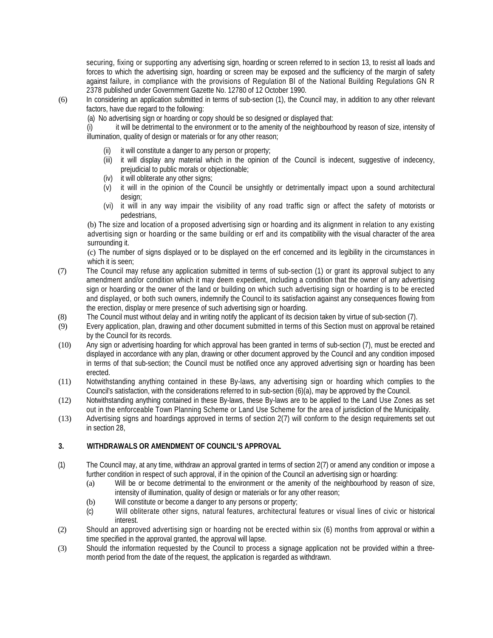securing, fixing or supporting any advertising sign, hoarding or screen referred to in section 13, to resist all loads and forces to which the advertising sign, hoarding or screen may be exposed and the sufficiency of the margin of safety against failure, in compliance with the provisions of Regulation Bl of the National Building Regulations GN R 2378 published under Government Gazette No. 12780 of 12 October 1990.

- (6) In considering an application submitted in terms of sub-section (1), the Council may, in addition to any other relevant factors, have due regard to the following:
	- (a) No advertising sign or hoarding or copy should be so designed or displayed that:

(i) it will be detrimental to the environment or to the amenity of the neighbourhood by reason of size, intensity of illumination, quality of design or materials or for any other reason;

- it will constitute a danger to any person or property;
- (iii) it will display any material which in the opinion of the Council is indecent, suggestive of indecency, prejudicial to public morals or objectionable;
- (iv) it will obliterate any other signs;
- (v) it will in the opinion of the Council be unsightly or detrimentally impact upon a sound architectural design:
- (vi) it will in any way impair the visibility of any road traffic sign or affect the safety of motorists or pedestrians,

(b) The size and location of a proposed advertising sign or hoarding and its alignment in relation to any existing advertising sign or hoarding or the same building or erf and its compatibility with the visual character of the area surrounding it.

(c) The number of signs displayed or to be displayed on the erf concerned and its legibility in the circumstances in which it is seen;

- (7) The Council may refuse any application submitted in terms of sub-section (1) or grant its approval subject to any amendment and/or condition which it may deem expedient, including a condition that the owner of any advertising sign or hoarding or the owner of the land or building on which such advertising sign or hoarding is to be erected and displayed, or both such owners, indemnify the Council to its satisfaction against any consequences flowing from the erection, display or mere presence of such advertising sign or hoarding.
- (8) The Council must without delay and in writing notify the applicant of its decision taken by virtue of sub-section (7).
- (9) Every application, plan, drawing and other document submitted in terms of this Section must on approval be retained by the Council for its records.
- (10) Any sign or advertising hoarding for which approval has been granted in terms of sub-section (7), must be erected and displayed in accordance with any plan, drawing or other document approved by the Council and any condition imposed in terms of that sub-section; the Council must be notified once any approved advertising sign or hoarding has been erected.
- (11) Notwithstanding anything contained in these By-laws, any advertising sign or hoarding which complies to the Council's satisfaction, with the considerations referred to in sub-section (6)(a), may be approved by the Council.
- (12) Notwithstanding anything contained in these By-laws, these By-laws are to be applied to the Land Use Zones as set out in the enforceable Town Planning Scheme or Land Use Scheme for the area of jurisdiction of the Municipality.
- (13) Advertising signs and hoardings approved in terms of section 2(7) will conform to the design requirements set out in section 28,

# **3. WITHDRAWALS OR AMENDMENT OF COUNCIL'S APPROVAL**

- (1) The Council may, at any time, withdraw an approval granted in terms of section 2(7) or amend any condition or impose a further condition in respect of such approval, if in the opinion of the Council an advertising sign or hoarding:
	- (a) Will be or become detrimental to the environment or the amenity of the neighbourhood by reason of size, intensity of illumination, quality of design or materials or for any other reason;
	- (b) Will constitute or become a danger to any persons or property;
	- (c) Will obliterate other signs, natural features, architectural features or visual lines of civic or historical interest.
- (2) Should an approved advertising sign or hoarding not be erected within six (6) months from approval or within a time specified in the approval granted, the approval will lapse.
- (3) Should the information requested by the Council to process a signage application not be provided within a threemonth period from the date of the request, the application is regarded as withdrawn.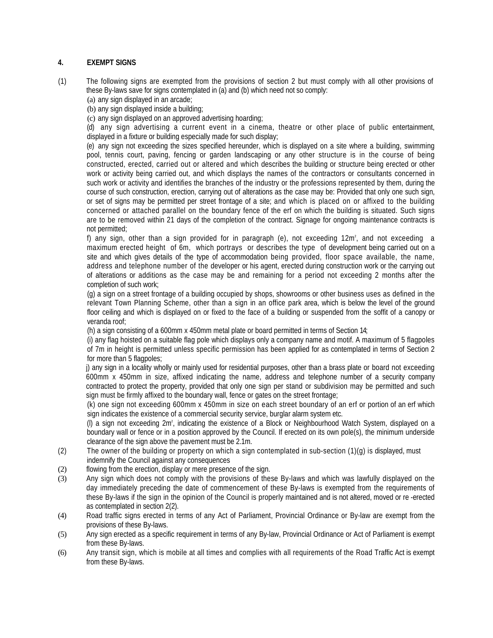## **4. EXEMPT SIGNS**

- (1) The following signs are exempted from the provisions of section 2 but must comply with all other provisions of these By-laws save for signs contemplated in (a) and (b) which need not so comply:
	- (a) any sign displayed in an arcade;
	- (b) any sign displayed inside a building;
	- (c) any sign displayed on an approved advertising hoarding;

(d) any sign advertising a current event in a cinema, theatre or other place of public entertainment, displayed in a fixture or building especially made for such display;

(e) any sign not exceeding the sizes specified hereunder, which is displayed on a site where a building, swimming pool, tennis court, paving, fencing or garden landscaping or any other structure is in the course of being constructed, erected, carried out or altered and which describes the building or structure being erected or other work or activity being carried out, and which displays the names of the contractors or consultants concerned in such work or activity and identifies the branches of the industry or the professions represented by them, during the course of such construction, erection, carrying out of alterations as the case may be: Provided that only one such sign, or set of signs may be permitted per street frontage of a site; and which is placed on or affixed to the building concerned or attached parallel on the boundary fence of the erf on which the building is situated. Such signs are to be removed within 21 days of the completion of the contract. Signage for ongoing maintenance contracts is not permitted;

f) any sign, other than a sign provided for in paragraph (e), not exceeding 12m² , and not exceeding a maximum erected height of 6m, which portrays or describes the type of development being carried out on a site and which gives details of the type of accommodation being provided, floor space available, the name, address and telephone number of the developer or his agent, erected during construction work or the carrying out of alterations or additions as the case may be and remaining for a period not exceeding 2 months after the completion of such work;

(g) a sign on a street frontage of a building occupied by shops, showrooms or other business uses as defined in the relevant Town Planning Scheme, other than a sign in an office park area, which is below the level of the ground floor ceiling and which is displayed on or fixed to the face of a building or suspended from the soffit of a canopy or veranda roof;

(h) a sign consisting of a 600mm x 450mm metal plate or board permitted in terms of Section 14;

(i) any flag hoisted on a suitable flag pole which displays only a company name and motif. A maximum of 5 flagpoles of 7m in height is permitted unless specific permission has been applied for as contemplated in terms of Section 2 for more than 5 flagpoles;

j) any sign in a locality wholly or mainly used for residential purposes, other than a brass plate or board not exceeding 600mm x 450mm in size, affixed indicating the name, address and telephone number of a security company contracted to protect the property, provided that only one sign per stand or subdivision may be permitted and such sign must be firmly affixed to the boundary wall, fence or gates on the street frontage;

(k) one sign not exceeding 600mm x 450mm in size on each street boundary of an erf or portion of an erf which sign indicates the existence of a commercial security service, burglar alarm system etc.

(l) a sign not exceeding 2m² , indicating the existence of a Block or Neighbourhood Watch System, displayed on a boundary wall or fence or in a position approved by the Council. If erected on its own pole(s), the minimum underside clearance of the sign above the pavement must be 2.1m.

- (2) The owner of the building or property on which a sign contemplated in sub-section (1)(g) is displayed, must indemnify the Council against any consequences
- (2) flowing from the erection, display or mere presence of the sign.
- (3) Any sign which does not comply with the provisions of these By-laws and which was lawfully displayed on the day immediately preceding the date of commencement of these By-laws is exempted from the requirements of these By-laws if the sign in the opinion of the Council is properly maintained and is not altered, moved or re -erected as contemplated in section 2(2).
- (4) Road traffic signs erected in terms of any Act of Parliament, Provincial Ordinance or By-law are exempt from the provisions of these By-laws.
- (5) Any sign erected as a specific requirement in terms of any By-law, Provincial Ordinance or Act of Parliament is exempt from these By-laws.
- (6) Any transit sign, which is mobile at all times and complies with all requirements of the Road Traffic Act is exempt from these By-laws.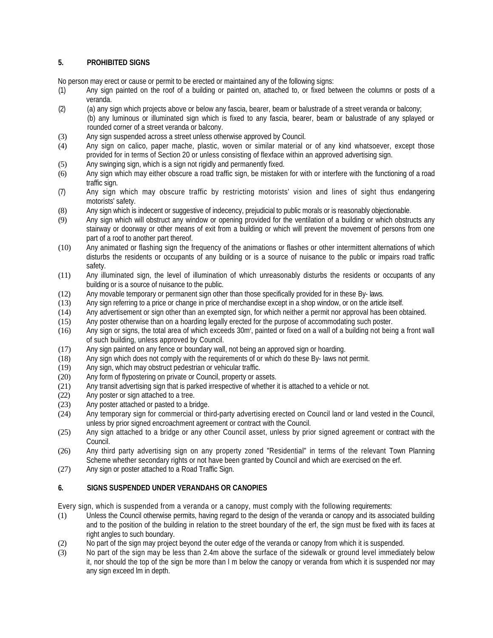# **5. PROHIBITED SIGNS**

No person may erect or cause or permit to be erected or maintained any of the following signs:

- (1) Any sign painted on the roof of a building or painted on, attached to, or fixed between the columns or posts of a veranda.
- (2) (a) any sign which projects above or below any fascia, bearer, beam or balustrade of a street veranda or balcony; (b) any luminous or illuminated sign which is fixed to any fascia, bearer, beam or balustrade of any splayed or rounded corner of a street veranda or balcony.
- (3) Any sign suspended across a street unless otherwise approved by Council.
- (4) Any sign on calico, paper mache, plastic, woven or similar material or of any kind whatsoever, except those provided for in terms of Section 20 or unless consisting of flexface within an approved advertising sign.
- (5) Any swinging sign, which is a sign not rigidly and permanently fixed.
- (6) Any sign which may either obscure a road traffic sign, be mistaken for with or interfere with the functioning of a road traffic sign.
- (7) Any sign which may obscure traffic by restricting motorists' vision and lines of sight thus endangering motorists' safety.
- (8) Any sign which is indecent or suggestive of indecency, prejudicial to public morals or is reasonably objectionable.
- (9) Any sign which will obstruct any window or opening provided for the ventilation of a building or which obstructs any stairway or doorway or other means of exit from a building or which will prevent the movement of persons from one part of a roof to another part thereof.
- (10) Any animated or flashing sign the frequency of the animations or flashes or other intermittent alternations of which disturbs the residents or occupants of any building or is a source of nuisance to the public or impairs road traffic safety.
- (11) Any illuminated sign, the level of illumination of which unreasonably disturbs the residents or occupants of any building or is a source of nuisance to the public.
- (12) Any movable temporary or permanent sign other than those specifically provided for in these By- laws.
- (13) Any sign referring to a price or change in price of merchandise except in a shop window, or on the article itself.
- (14) Any advertisement or sign other than an exempted sign, for which neither a permit nor approval has been obtained.
- (15) Any poster otherwise than on a hoarding legally erected for the purpose of accommodating such poster.
- (16) Any sign or signs, the total area of which exceeds 30m² , painted or fixed on a wall of a building not being a front wall of such building, unless approved by Council.
- (17) Any sign painted on any fence or boundary wall, not being an approved sign or hoarding.
- (18) Any sign which does not comply with the requirements of or which do these By- laws not permit.
- 
- (19) Any sign, which may obstruct pedestrian or vehicular traffic.<br>(20) Any form of flypostering on private or Council, property or as Any form of flypostering on private or Council, property or assets.
- (21) Any transit advertising sign that is parked irrespective of whether it is attached to a vehicle or not.
- (22) Any poster or sign attached to a tree.
- (23) Any poster attached or pasted to a bridge.
- (24) Any temporary sign for commercial or third-party advertising erected on Council land or land vested in the Council, unless by prior signed encroachment agreement or contract with the Council.
- (25) Any sign attached to a bridge or any other Council asset, unless by prior signed agreement or contract with the Council.
- (26) Any third party advertising sign on any property zoned "Residential" in terms of the relevant Town Planning Scheme whether secondary rights or not have been granted by Council and which are exercised on the erf.
- (27) Any sign or poster attached to a Road Traffic Sign.

# **6. SIGNS SUSPENDED UNDER VERANDAHS OR CANOPIES**

Every sign, which is suspended from a veranda or a canopy, must comply with the following requirements:

- (1) Unless the Council otherwise permits, having regard to the design of the veranda or canopy and its associated building and to the position of the building in relation to the street boundary of the erf, the sign must be fixed with its faces at right angles to such boundary.
- (2) No part of the sign may project beyond the outer edge of the veranda or canopy from which it is suspended.
- (3) No part of the sign may be less than 2.4m above the surface of the sidewalk or ground level immediately below it, nor should the top of the sign be more than l m below the canopy or veranda from which it is suspended nor may any sign exceed lm in depth.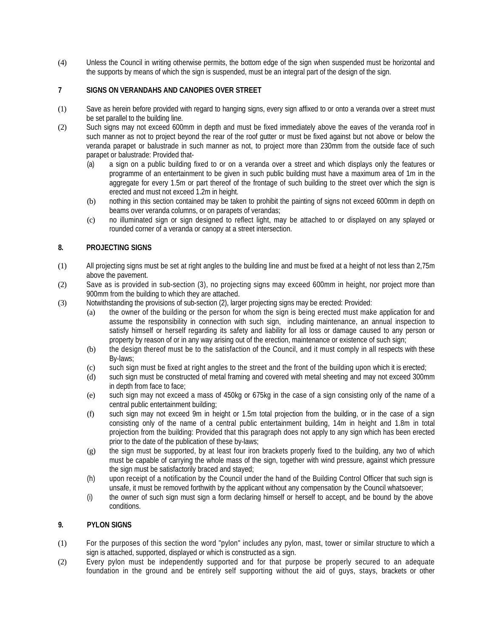(4) Unless the Council in writing otherwise permits, the bottom edge of the sign when suspended must be horizontal and the supports by means of which the sign is suspended, must be an integral part of the design of the sign.

# **7 SIGNS ON VERANDAHS AND CANOPIES OVER STREET**

- (1) Save as herein before provided with regard to hanging signs, every sign affixed to or onto a veranda over a street must be set parallel to the building line.
- (2) Such signs may not exceed 600mm in depth and must be fixed immediately above the eaves of the veranda roof in such manner as not to project beyond the rear of the roof gutter or must be fixed against but not above or below the veranda parapet or balustrade in such manner as not, to project more than 230mm from the outside face of such parapet or balustrade: Provided that-
	- (a) a sign on a public building fixed to or on a veranda over a street and which displays only the features or programme of an entertainment to be given in such public building must have a maximum area of 1m in the aggregate for every 1.5m or part thereof of the frontage of such building to the street over which the sign is erected and must not exceed 1.2m in height.
	- (b) nothing in this section contained may be taken to prohibit the painting of signs not exceed 600mm in depth on beams over veranda columns, or on parapets of verandas;
	- (c) no illuminated sign or sign designed to reflect light, may be attached to or displayed on any splayed or rounded corner of a veranda or canopy at a street intersection.

## **8. PROJECTING SIGNS**

- (1) All projecting signs must be set at right angles to the building line and must be fixed at a height of not less than 2,75m above the pavement.
- (2) Save as is provided in sub-section (3), no projecting signs may exceed 600mm in height, nor project more than 900mm from the building to which they are attached.
- (3) Notwithstanding the provisions of sub-section (2), larger projecting signs may be erected: Provided:
	- (a) the owner of the building or the person for whom the sign is being erected must make application for and assume the responsibility in connection with such sign, including maintenance, an annual inspection to satisfy himself or herself regarding its safety and liability for all loss or damage caused to any person or property by reason of or in any way arising out of the erection, maintenance or existence of such sign;
	- (b) the design thereof must be to the satisfaction of the Council, and it must comply in all respects with these By-laws;
	- (c) such sign must be fixed at right angles to the street and the front of the building upon which it is erected;
	- (d) such sign must be constructed of metal framing and covered with metal sheeting and may not exceed 300mm in depth from face to face;
	- (e) such sign may not exceed a mass of 450kg or 675kg in the case of a sign consisting only of the name of a central public entertainment building;
	- (f) such sign may not exceed 9m in height or 1.5m total projection from the building, or in the case of a sign consisting only of the name of a central public entertainment building, 14m in height and 1.8m in total projection from the building: Provided that this paragraph does not apply to any sign which has been erected prior to the date of the publication of these by-laws;
	- (g) the sign must be supported, by at least four iron brackets properly fixed to the building, any two of which must be capable of carrying the whole mass of the sign, together with wind pressure, against which pressure the sign must be satisfactorily braced and stayed;
	- (h) upon receipt of a notification by the Council under the hand of the Building Control Officer that such sign is unsafe, it must be removed forthwith by the applicant without any compensation by the Council whatsoever;
	- (i) the owner of such sign must sign a form declaring himself or herself to accept, and be bound by the above conditions.

## **9. PYLON SIGNS**

- (1) For the purposes of this section the word "pylon" includes any pylon, mast, tower or similar structure to which a sign is attached, supported, displayed or which is constructed as a sign.
- (2) Every pylon must be independently supported and for that purpose be properly secured to an adequate foundation in the ground and be entirely self supporting without the aid of guys, stays, brackets or other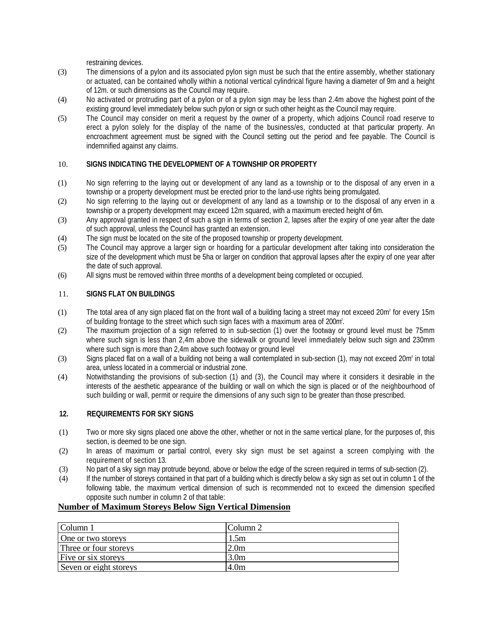restraining devices.

- (3) The dimensions of a pylon and its associated pylon sign must be such that the entire assembly, whether stationary or actuated, can be contained wholly within a notional vertical cylindrical figure having a diameter of 9m and a height of 12m. or such dimensions as the Council may require.
- (4) No activated or protruding part of a pylon or of a pylon sign may be less than 2.4m above the highest point of the existing ground level immediately below such pylon or sign or such other height as the Council may require.
- (5) The Council may consider on merit a request by the owner of a property, which adjoins Council road reserve to erect a pylon solely for the display of the name of the business/es, conducted at that particular property. An encroachment agreement must be signed with the Council setting out the period and fee payable. The Council is indemnified against any claims.

# 10. **SIGNS INDICATING THE DEVELOPMENT OF A TOWNSHIP OR PROPERTY**

- (1) No sign referring to the laying out or development of any land as a township or to the disposal of any erven in a township or a property development must be erected prior to the land-use rights being promulgated.
- (2) No sign referring to the laying out or development of any land as a township or to the disposal of any erven in a township or a property development may exceed 12m squared, with a maximum erected height of 6m.
- (3) Any approval granted in respect of such a sign in terms of section 2, lapses after the expiry of one year after the date of such approval, unless the Council has granted an extension.
- (4) The sign must be located on the site of the proposed township or property development.
- (5) The Council may approve a larger sign or hoarding for a particular development after taking into consideration the size of the development which must be 5ha or larger on condition that approval lapses after the expiry of one year after the date of such approval.
- (6) All signs must be removed within three months of a development being completed or occupied.

## 11. **SIGNS FLAT ON BUILDINGS**

- (1) The total area of any sign placed flat on the front wall of a building facing a street may not exceed 20m² for every 15m of building frontage to the street which such sign faces with a maximum area of 200m² .
- (2) The maximum projection of a sign referred to in sub-section (1) over the footway or ground level must be 75mm where such sign is less than 2,4m above the sidewalk or ground level immediately below such sign and 230mm where such sign is more than 2,4m above such footway or ground level
- (3) Signs placed flat on a wall of a building not being a wall contemplated in sub-section (1), may not exceed 20m² in total area, unless located in a commercial or industrial zone.
- (4) Notwithstanding the provisions of sub-section (1) and (3), the Council may where it considers it desirable in the interests of the aesthetic appearance of the building or wall on which the sign is placed or of the neighbourhood of such building or wall, permit or require the dimensions of any such sign to be greater than those prescribed.

# **12. REQUIREMENTS FOR SKY SIGNS**

- (1) Two or more sky signs placed one above the other, whether or not in the same vertical plane, for the purposes of, this section, is deemed to be one sign.
- (2) In areas of maximum or partial control, every sky sign must be set against a screen complying with the requirement of section 13.
- (3) No part of a sky sign may protrude beyond, above or below the edge of the screen required in terms of sub-section (2).
- (4) If the number of storeys contained in that part of a building which is directly below a sky sign as set out in column 1 of the following table, the maximum vertical dimension of such is recommended not to exceed the dimension specified opposite such number in column 2 of that table:

## **Number of Maximum Storeys Below Sign Vertical Dimension**

| Column 1               | Column 2         |
|------------------------|------------------|
| One or two storeys     | 1.5m             |
| Three or four storeys  | 2.0 <sub>m</sub> |
| Five or six storeys    | 3.0 <sub>m</sub> |
| Seven or eight storeys | 4.0 <sub>m</sub> |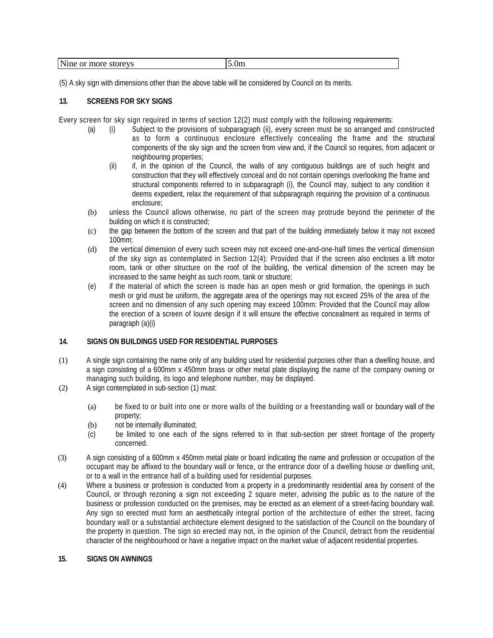| Nine<br>storeys<br>∖.∪m<br>more<br>or |  |  |
|---------------------------------------|--|--|
|---------------------------------------|--|--|

(5) A sky sign with dimensions other than the above table will be considered by Council on its merits.

## **13. SCREENS FOR SKY SIGNS**

Every screen for sky sign required in terms of section 12(2) must comply with the following requirements:

- (a) (i) Subject to the provisions of subparagraph (ii), every screen must be so arranged and constructed as to form a continuous enclosure effectively concealing the frame and the structural components of the sky sign and the screen from view and, if the Council so requires, from adjacent or neighbouring properties;
	- (ii) if, in the opinion of the Council, the walls of any contiguous buildings are of such height and construction that they will effectively conceal and do not contain openings overlooking the frame and structural components referred to in subparagraph (i), the Council may, subject to any condition it deems expedient, relax the requirement of that subparagraph requiring the provision of a continuous enclosure;
- (b) unless the Council allows otherwise, no part of the screen may protrude beyond the perimeter of the building on which it is constructed;
- (c) the gap between the bottom of the screen and that part of the building immediately below it may not exceed 100mm;
- (d) the vertical dimension of every such screen may not exceed one-and-one-half times the vertical dimension of the sky sign as contemplated in Section 12(4): Provided that if the screen also encloses a lift motor room, tank or other structure on the roof of the building, the vertical dimension of the screen may be increased to the same height as such room, tank or structure;
- (e) if the material of which the screen is made has an open mesh or grid formation, the openings in such mesh or grid must be uniform, the aggregate area of the openings may not exceed 25% of the area of the screen and no dimension of any such opening may exceed 100mm: Provided that the Council may allow the erection of a screen of louvre design if it will ensure the effective concealment as required in terms of paragraph (a)(i)

### **14. SIGNS ON BUILDINGS USED FOR RESIDENTIAL PURPOSES**

- (1) A single sign containing the name only of any building used for residential purposes other than a dwelling house, and a sign consisting of a 600mm x 450mm brass or other metal plate displaying the name of the company owning or managing such building, its logo and telephone number, may be displayed.
- (2) A sign contemplated in sub-section (1) must:
	- (a) be fixed to or built into one or more walls of the building or a freestanding wall or boundary wall of the property;
	- (b) not be internally illuminated;
	- (c) be limited to one each of the signs referred to in that sub-section per street frontage of the property concerned.
- (3) A sign consisting of a 600mm x 450mm metal plate or board indicating the name and profession or occupation of the occupant may be affixed to the boundary wall or fence, or the entrance door of a dwelling house or dwelling unit, or to a wall in the entrance hall of a building used for residential purposes.
- (4) Where a business or profession is conducted from a property in a predominantly residential area by consent of the Council, or through rezoning a sign not exceeding 2 square meter, advising the public as to the nature of the business or profession conducted on the premises, may be erected as an element of a street-facing boundary wall. Any sign so erected must form an aesthetically integral portion of the architecture of either the street, facing boundary wall or a substantial architecture element designed to the satisfaction of the Council on the boundary of the property in question. The sign so erected may not, in the opinion of the Council, detract from the residential character of the neighbourhood or have a negative impact on the market value of adjacent residential properties.

### **15. SIGNS ON AWNINGS**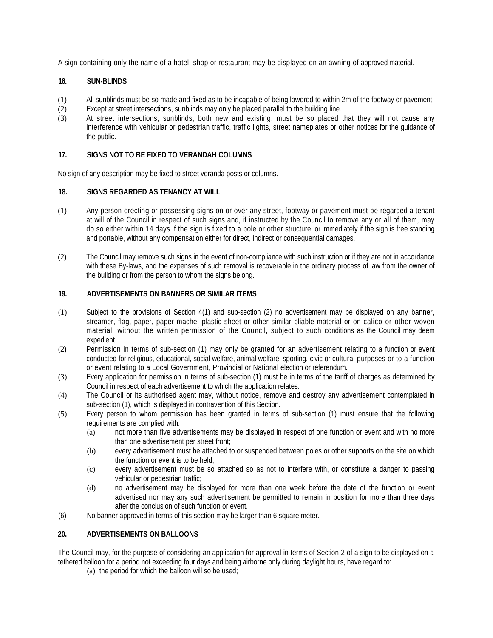A sign containing only the name of a hotel, shop or restaurant may be displayed on an awning of approved material.

## **16. SUN-BLINDS**

- (1) All sunblinds must be so made and fixed as to be incapable of being lowered to within 2m of the footway or pavement.
- (2) Except at street intersections, sunblinds may only be placed parallel to the building line.
- (3) At street intersections, sunblinds, both new and existing, must be so placed that they will not cause any interference with vehicular or pedestrian traffic, traffic lights, street nameplates or other notices for the guidance of the public.

## **17. SIGNS NOT TO BE FIXED TO VERANDAH COLUMNS**

No sign of any description may be fixed to street veranda posts or columns.

### **18. SIGNS REGARDED AS TENANCY AT WILL**

- (1) Any person erecting or possessing signs on or over any street, footway or pavement must be regarded a tenant at will of the Council in respect of such signs and, if instructed by the Council to remove any or all of them, may do so either within 14 days if the sign is fixed to a pole or other structure, or immediately if the sign is free standing and portable, without any compensation either for direct, indirect or consequential damages.
- (2) The Council may remove such signs in the event of non-compliance with such instruction or if they are not in accordance with these By-laws, and the expenses of such removal is recoverable in the ordinary process of law from the owner of the building or from the person to whom the signs belong.

### **19. ADVERTISEMENTS ON BANNERS OR SIMILAR ITEMS**

- (1) Subject to the provisions of Section 4(1) and sub-section (2) no advertisement may be displayed on any banner, streamer, flag, paper, paper mache, plastic sheet or other similar pliable material or on calico or other woven material, without the written permission of the Council, subject to such conditions as the Council may deem expedient.
- (2) Permission in terms of sub-section (1) may only be granted for an advertisement relating to a function or event conducted for religious, educational, social welfare, animal welfare, sporting, civic or cultural purposes or to a function or event relating to a Local Government, Provincial or National election or referendum.
- (3) Every application for permission in terms of sub-section (1) must be in terms of the tariff of charges as determined by Council in respect of each advertisement to which the application relates.
- (4) The Council or its authorised agent may, without notice, remove and destroy any advertisement contemplated in sub-section (1), which is displayed in contravention of this Section.
- (5) Every person to whom permission has been granted in terms of sub-section (1) must ensure that the following requirements are complied with:
	- (a) not more than five advertisements may be displayed in respect of one function or event and with no more than one advertisement per street front;
	- (b) every advertisement must be attached to or suspended between poles or other supports on the site on which the function or event is to be held;
	- (c) every advertisement must be so attached so as not to interfere with, or constitute a danger to passing vehicular or pedestrian traffic;
	- (d) no advertisement may be displayed for more than one week before the date of the function or event advertised nor may any such advertisement be permitted to remain in position for more than three days after the conclusion of such function or event.
- (6) No banner approved in terms of this section may be larger than 6 square meter.

# **20. ADVERTISEMENTS ON BALLOONS**

The Council may, for the purpose of considering an application for approval in terms of Section 2 of a sign to be displayed on a tethered balloon for a period not exceeding four days and being airborne only during daylight hours, have regard to:

(a) the period for which the balloon will so be used;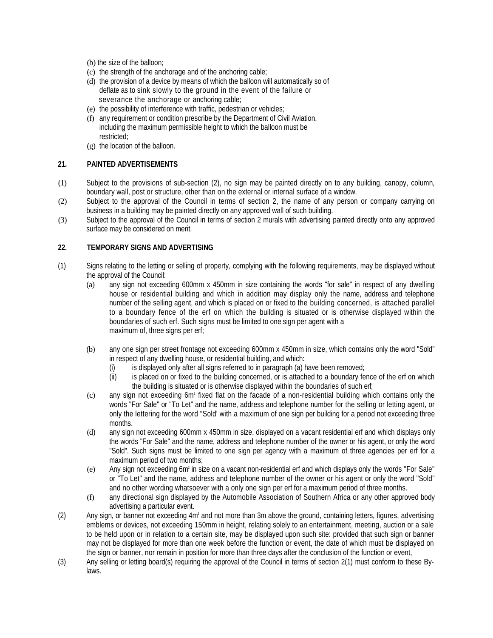- (b) the size of the balloon;
- (c) the strength of the anchorage and of the anchoring cable;
- (d) the provision of a device by means of which the balloon will automatically so of deflate as to sink slowly to the ground in the event of the failure or severance the anchorage or anchoring cable;
- (e) the possibility of interference with traffic, pedestrian or vehicles;
- (f) any requirement or condition prescribe by the Department of Civil Aviation, including the maximum permissible height to which the balloon must be restricted;
- (g) the location of the balloon.

# **21. PAINTED ADVERTISEMENTS**

- (1) Subject to the provisions of sub-section (2), no sign may be painted directly on to any building, canopy, column, boundary wall, post or structure, other than on the external or internal surface of a window.
- (2) Subject to the approval of the Council in terms of section 2, the name of any person or company carrying on business in a building may be painted directly on any approved wall of such building.
- (3) Subject to the approval of the Council in terms of section 2 murals with advertising painted directly onto any approved surface may be considered on merit.

## **22. TEMPORARY SIGNS AND ADVERTISING**

- (1) Signs relating to the letting or selling of property, complying with the following requirements, may be displayed without the approval of the Council:
	- (a) any sign not exceeding 600mm x 450mm in size containing the words "for sale" in respect of any dwelling house or residential building and which in addition may display only the name, address and telephone number of the selling agent, and which is placed on or fixed to the building concerned, is attached parallel to a boundary fence of the erf on which the building is situated or is otherwise displayed within the boundaries of such erf. Such signs must be limited to one sign per agent with a maximum of, three signs per erf;
	- (b) any one sign per street frontage not exceeding 600mm x 450mm in size, which contains only the word "Sold" in respect of any dwelling house, or residential building, and which:
		- (i) is displayed only after all signs referred to in paragraph (a) have been removed;<br>(ii) is placed on or fixed to the building concerned, or is attached to a boundary fe
		- is placed on or fixed to the building concerned, or is attached to a boundary fence of the erf on which the building is situated or is otherwise displayed within the boundaries of such erf;
	- (c) any sign not exceeding 6m² fixed flat on the facade of a non-residential building which contains only the words "For Sale" or "To Let" and the name, address and telephone number for the selling or letting agent, or only the lettering for the word "Sold' with a maximum of one sign per building for a period not exceeding three months.
	- (d) any sign not exceeding 600mm x 450mm in size, displayed on a vacant residential erf and which displays only the words "For Sale" and the name, address and telephone number of the owner or his agent, or only the word "Sold". Such signs must be limited to one sign per agency with a maximum of three agencies per erf for a maximum period of two months;
	- (e) Any sign not exceeding 6m² in size on a vacant non-residential erf and which displays only the words "For Sale" or "To Let" and the name, address and telephone number of the owner or his agent or only the word "Sold" and no other wording whatsoever with a only one sign per erf for a maximum period of three months.
	- (f) any directional sign displayed by the Automobile Association of Southern Africa or any other approved body advertising a particular event.
- (2) Any sign, or banner not exceeding 4m² and not more than 3m above the ground, containing letters, figures, advertising emblems or devices, not exceeding 150mm in height, relating solely to an entertainment, meeting, auction or a sale to be held upon or in relation to a certain site, may be displayed upon such site: provided that such sign or banner may not be displayed for more than one week before the function or event, the date of which must be displayed on the sign or banner, nor remain in position for more than three days after the conclusion of the function or event,
- (3) Any selling or letting board(s) requiring the approval of the Council in terms of section 2(1) must conform to these Bylaws.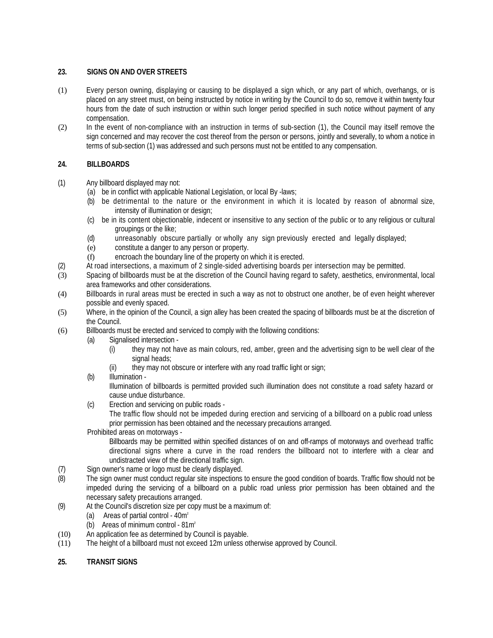## **23. SIGNS ON AND OVER STREETS**

- (1) Every person owning, displaying or causing to be displayed a sign which, or any part of which, overhangs, or is placed on any street must, on being instructed by notice in writing by the Council to do so, remove it within twenty four hours from the date of such instruction or within such longer period specified in such notice without payment of any compensation.
- (2) In the event of non-compliance with an instruction in terms of sub-section (1), the Council may itself remove the sign concerned and may recover the cost thereof from the person or persons, jointly and severally, to whom a notice in terms of sub-section (1) was addressed and such persons must not be entitled to any compensation.

# **24. BILLBOARDS**

- (1) Any billboard displayed may not:
	- (a) be in conflict with applicable National Legislation, or local By -laws;
	- (b) be detrimental to the nature or the environment in which it is located by reason of abnormal size, intensity of illumination or design;
	- (c) be in its content objectionable, indecent or insensitive to any section of the public or to any religious or cultural groupings or the like;
	- (d) unreasonably obscure partially or wholly any sign previously erected and legally displayed;
	- (e) constitute a danger to any person or property.
	- (f) encroach the boundary line of the property on which it is erected.
- (2) At road intersections, a maximum of 2 single-sided advertising boards per intersection may be permitted.
- (3) Spacing of billboards must be at the discretion of the Council having regard to safety, aesthetics, environmental, local area frameworks and other considerations.
- (4) Billboards in rural areas must be erected in such a way as not to obstruct one another, be of even height wherever possible and evenly spaced.
- (5) Where, in the opinion of the Council, a sign alley has been created the spacing of billboards must be at the discretion of the Council.
- (6) Billboards must be erected and serviced to comply with the following conditions:
	- (a) Signalised intersection
		- (i) they may not have as main colours, red, amber, green and the advertising sign to be well clear of the signal heads:
		- (ii) they may not obscure or interfere with any road traffic light or sign;
	- (b) Illumination -

Illumination of billboards is permitted provided such illumination does not constitute a road safety hazard or cause undue disturbance.

(c) Erection and servicing on public roads -

The traffic flow should not be impeded during erection and servicing of a billboard on a public road unless prior permission has been obtained and the necessary precautions arranged.

Prohibited areas on motorways -

Billboards may be permitted within specified distances of on and off-ramps of motorways and overhead traffic directional signs where a curve in the road renders the billboard not to interfere with a clear and undistracted view of the directional traffic sign.

- (7) Sign owner's name or logo must be clearly displayed.
- (8) The sign owner must conduct regular site inspections to ensure the good condition of boards. Traffic flow should not be impeded during the servicing of a billboard on a public road unless prior permission has been obtained and the necessary safety precautions arranged.
- (9) At the Council's discretion size per copy must be a maximum of:
	- (a) Areas of partial control  $40m^2$
	- (b) Areas of minimum control 81m²
- (10) An application fee as determined by Council is payable.
- (11) The height of a billboard must not exceed 12m unless otherwise approved by Council.
- **25. TRANSIT SIGNS**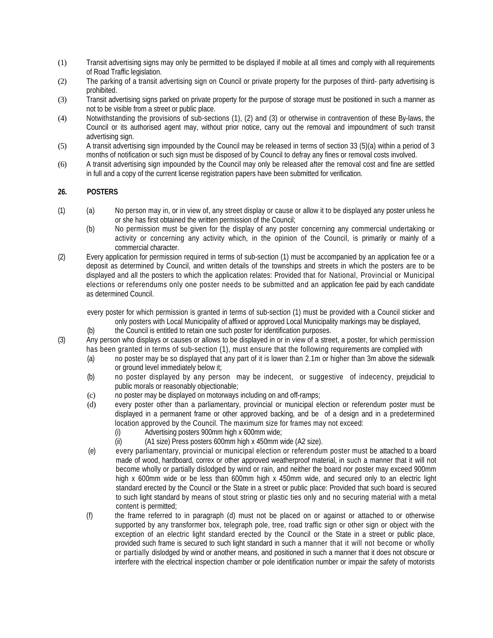- (1) Transit advertising signs may only be permitted to be displayed if mobile at all times and comply with all requirements of Road Traffic legislation.
- (2) The parking of a transit advertising sign on Council or private property for the purposes of third- party advertising is prohibited.
- (3) Transit advertising signs parked on private property for the purpose of storage must be positioned in such a manner as not to be visible from a street or public place.
- (4) Notwithstanding the provisions of sub-sections (1), (2) and (3) or otherwise in contravention of these By-laws, the Council or its authorised agent may, without prior notice, carry out the removal and impoundment of such transit advertising sign.
- (5) A transit advertising sign impounded by the Council may be released in terms of section 33 (5)(a) within a period of 3 months of notification or such sign must be disposed of by Council to defray any fines or removal costs involved.
- (6) A transit advertising sign impounded by the Council may only be released after the removal cost and fine are settled in full and a copy of the current license registration papers have been submitted for verification.

# **26. POSTERS**

- (1) (a) No person may in, or in view of, any street display or cause or allow it to be displayed any poster unless he or she has first obtained the written permission of the Council;
	- (b) No permission must be given for the display of any poster concerning any commercial undertaking or activity or concerning any activity which, in the opinion of the Council, is primarily or mainly of a commercial character.
- (2) Every application for permission required in terms of sub-section (1) must be accompanied by an application fee or a deposit as determined by Council, and written details of the townships and streets in which the posters are to be displayed and all the posters to which the application relates: Provided that for National, Provincial or Municipal elections or referendums only one poster needs to be submitted and an application fee paid by each candidate as determined Council.

every poster for which permission is granted in terms of sub-section (1) must be provided with a Council sticker and only posters with Local Municipality of affixed or approved Local Municipality markings may be displayed,

(b) the Council is entitled to retain one such poster for identification purposes.

(3) Any person who displays or causes or allows to be displayed in or in view of a street, a poster, for which permission has been granted in terms of sub-section (1), must ensure that the following requirements are complied with

- (a) no poster may be so displayed that any part of it is lower than 2.1m or higher than 3m above the sidewalk or ground level immediately below it;
- (b) no poster displayed by any person may be indecent, or suggestive of indecency, prejudicial to public morals or reasonably objectionable;
- (c) no poster may be displayed on motorways including on and off-ramps;
- (d) every poster other than a parliamentary, provincial or municipal election or referendum poster must be displayed in a permanent frame or other approved backing, and be of a design and in a predetermined location approved by the Council. The maximum size for frames may not exceed:
	- (i) Advertising posters 900mm high x 600mm wide;
	- (ii) (A1 size) Press posters 600mm high x 450mm wide (A2 size).
- (e) every parliamentary, provincial or municipal election or referendum poster must be attached to a board made of wood, hardboard, correx or other approved weatherproof material, in such a manner that it will not become wholly or partially dislodged by wind or rain, and neither the board nor poster may exceed 900mm high x 600mm wide or be less than 600mm high x 450mm wide, and secured only to an electric light standard erected by the Council or the State in a street or public place: Provided that such board is secured to such light standard by means of stout string or plastic ties only and no securing material with a metal content is permitted;
- (f) the frame referred to in paragraph (d) must not be placed on or against or attached to or otherwise supported by any transformer box, telegraph pole, tree, road traffic sign or other sign or object with the exception of an electric light standard erected by the Council or the State in a street or public place, provided such frame is secured to such light standard in such a manner that it will not become or wholly or partially dislodged by wind or another means, and positioned in such a manner that it does not obscure or interfere with the electrical inspection chamber or pole identification number or impair the safety of motorists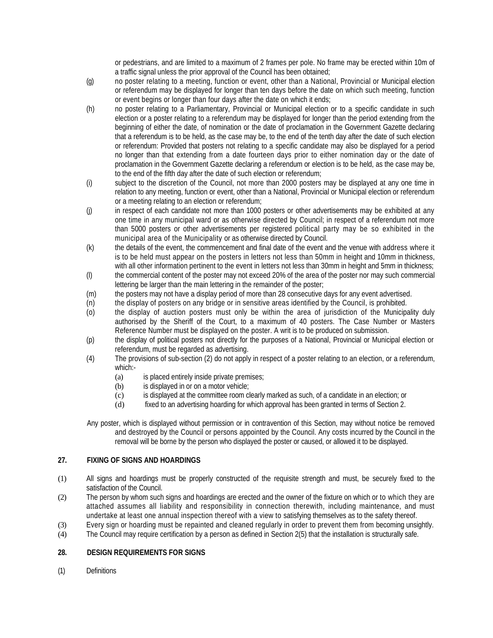or pedestrians, and are limited to a maximum of 2 frames per pole. No frame may be erected within 10m of a traffic signal unless the prior approval of the Council has been obtained;

- (g) no poster relating to a meeting, function or event, other than a National, Provincial or Municipal election or referendum may be displayed for longer than ten days before the date on which such meeting, function or event begins or longer than four days after the date on which it ends;
- (h) no poster relating to a Parliamentary, Provincial or Municipal election or to a specific candidate in such election or a poster relating to a referendum may be displayed for longer than the period extending from the beginning of either the date, of nomination or the date of proclamation in the Government Gazette declaring that a referendum is to be held, as the case may be, to the end of the tenth day after the date of such election or referendum: Provided that posters not relating to a specific candidate may also be displayed for a period no longer than that extending from a date fourteen days prior to either nomination day or the date of proclamation in the Government Gazette declaring a referendum or election is to be held, as the case may be, to the end of the fifth day after the date of such election or referendum;
- (i) subject to the discretion of the Council, not more than 2000 posters may be displayed at any one time in relation to any meeting, function or event, other than a National, Provincial or Municipal election or referendum or a meeting relating to an election or referendum;
- (j) in respect of each candidate not more than 1000 posters or other advertisements may be exhibited at any one time in any municipal ward or as otherwise directed by Council; in respect of a referendum not more than 5000 posters or other advertisements per registered political party may be so exhibited in the municipal area of the Municipality or as otherwise directed by Council.
- (k) the details of the event, the commencement and final date of the event and the venue with address where it is to be held must appear on the posters in letters not less than 50mm in height and 10mm in thickness, with all other information pertinent to the event in letters not less than 30mm in height and 5mm in thickness;
- (l) the commercial content of the poster may not exceed 20% of the area of the poster nor may such commercial lettering be larger than the main lettering in the remainder of the poster;
- (m) the posters may not have a display period of more than 28 consecutive days for any event advertised.
- (n) the display of posters on any bridge or in sensitive areas identified by the Council, is prohibited.
- (o) the display of auction posters must only be within the area of jurisdiction of the Municipality duly authorised by the Sheriff of the Court, to a maximum of 40 posters. The Case Number or Masters Reference Number must be displayed on the poster. A writ is to be produced on submission.
- (p) the display of political posters not directly for the purposes of a National, Provincial or Municipal election or referendum, must be regarded as advertising.
- (4) The provisions of sub-section (2) do not apply in respect of a poster relating to an election, or a referendum, which:-
	- (a) is placed entirely inside private premises;
	- (b) is displayed in or on a motor vehicle;
	- (c) is displayed at the committee room clearly marked as such, of a candidate in an election; or
	- (d) fixed to an advertising hoarding for which approval has been granted in terms of Section 2.

Any poster, which is displayed without permission or in contravention of this Section, may without notice be removed and destroyed by the Council or persons appointed by the Council. Any costs incurred by the Council in the removal will be borne by the person who displayed the poster or caused, or allowed it to be displayed.

# **27. FIXING OF SIGNS AND HOARDINGS**

- (1) All signs and hoardings must be properly constructed of the requisite strength and must, be securely fixed to the satisfaction of the Council.
- (2) The person by whom such signs and hoardings are erected and the owner of the fixture on which or to which they are attached assumes all liability and responsibility in connection therewith, including maintenance, and must undertake at least one annual inspection thereof with a view to satisfying themselves as to the safety thereof.
- (3) Every sign or hoarding must be repainted and cleaned regularly in order to prevent them from becoming unsightly.
- (4) The Council may require certification by a person as defined in Section 2(5) that the installation is structurally safe.

# **28. DESIGN REQUIREMENTS FOR SIGNS**

(1) Definitions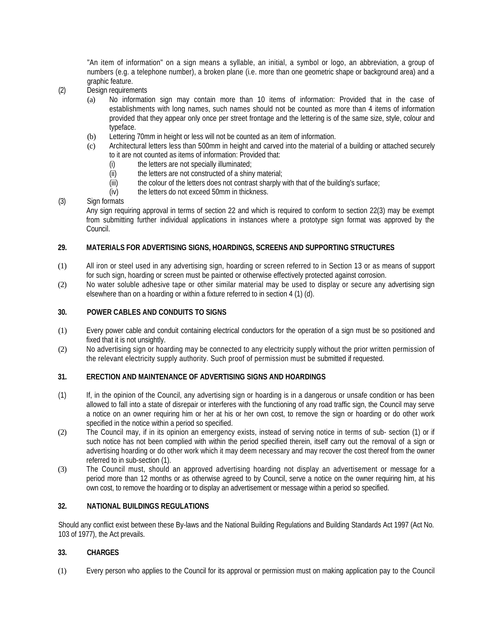"An item of information" on a sign means a syllable, an initial, a symbol or logo, an abbreviation, a group of numbers (e.g. a telephone number), a broken plane (i.e. more than one geometric shape or background area) and a graphic feature.

- (2) Design requirements
	- (a) No information sign may contain more than 10 items of information: Provided that in the case of establishments with long names, such names should not be counted as more than 4 items of information provided that they appear only once per street frontage and the lettering is of the same size, style, colour and typeface.
	- (b) Lettering 70mm in height or less will not be counted as an item of information.
	- (c) Architectural letters less than 500mm in height and carved into the material of a building or attached securely to it are not counted as items of information: Provided that:
		- (i) the letters are not specially illuminated;
		- (ii) the letters are not constructed of a shiny material;
		- (iii) the colour of the letters does not contrast sharply with that of the building's surface;
		- (iv) the letters do not exceed 50mm in thickness.
- (3) Sign formats

Any sign requiring approval in terms of section 22 and which is required to conform to section 22(3) may be exempt from submitting further individual applications in instances where a prototype sign format was approved by the Council.

## **29. MATERIALS FOR ADVERTISING SIGNS, HOARDINGS, SCREENS AND SUPPORTING STRUCTURES**

- (1) All iron or steel used in any advertising sign, hoarding or screen referred to in Section 13 or as means of support for such sign, hoarding or screen must be painted or otherwise effectively protected against corrosion.
- (2) No water soluble adhesive tape or other similar material may be used to display or secure any advertising sign elsewhere than on a hoarding or within a fixture referred to in section 4 (1) (d).

## **30. POWER CABLES AND CONDUITS TO SIGNS**

- (1) Every power cable and conduit containing electrical conductors for the operation of a sign must be so positioned and fixed that it is not unsightly.
- (2) No advertising sign or hoarding may be connected to any electricity supply without the prior written permission of the relevant electricity supply authority. Such proof of permission must be submitted if requested.

## **31. ERECTION AND MAINTENANCE OF ADVERTISING SIGNS AND HOARDINGS**

- (1) If, in the opinion of the Council, any advertising sign or hoarding is in a dangerous or unsafe condition or has been allowed to fall into a state of disrepair or interferes with the functioning of any road traffic sign, the Council may serve a notice on an owner requiring him or her at his or her own cost, to remove the sign or hoarding or do other work specified in the notice within a period so specified.
- (2) The Council may, if in its opinion an emergency exists, instead of serving notice in terms of sub- section (1) or if such notice has not been complied with within the period specified therein, itself carry out the removal of a sign or advertising hoarding or do other work which it may deem necessary and may recover the cost thereof from the owner referred to in sub-section (1).
- (3) The Council must, should an approved advertising hoarding not display an advertisement or message for a period more than 12 months or as otherwise agreed to by Council, serve a notice on the owner requiring him, at his own cost, to remove the hoarding or to display an advertisement or message within a period so specified.

### **32. NATIONAL BUILDINGS REGULATIONS**

Should any conflict exist between these By-laws and the National Building Regulations and Building Standards Act 1997 (Act No. 103 of 1977), the Act prevails.

# **33. CHARGES**

(1) Every person who applies to the Council for its approval or permission must on making application pay to the Council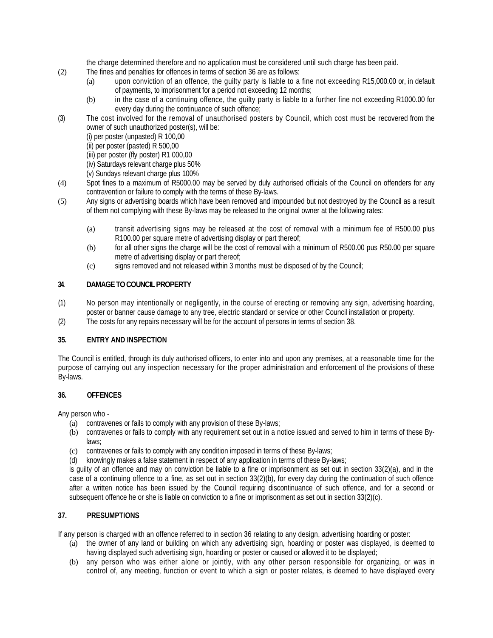the charge determined therefore and no application must be considered until such charge has been paid.

- (2) The fines and penalties for offences in terms of section 36 are as follows:
	- (a) upon conviction of an offence, the guilty party is liable to a fine not exceeding R15,000.00 or, in default of payments, to imprisonment for a period not exceeding 12 months;
	- (b) in the case of a continuing offence, the guilty party is liable to a further fine not exceeding R1000.00 for every day during the continuance of such offence;
- (3) The cost involved for the removal of unauthorised posters by Council, which cost must be recovered from the owner of such unauthorized poster(s), will be:
	- (i) per poster (unpasted) R 100,00
	- (ii) per poster (pasted) R 500,00
	- (iii) per poster (fly poster) R1 000,00
	- (iv) Saturdays relevant charge plus 50%
	- (v) Sundays relevant charge plus 100%
- (4) Spot fines to a maximum of R5000.00 may be served by duly authorised officials of the Council on offenders for any contravention or failure to comply with the terms of these By-laws.
- (5) Any signs or advertising boards which have been removed and impounded but not destroyed by the Council as a result of them not complying with these By-laws may be released to the original owner at the following rates:
	- (a) transit advertising signs may be released at the cost of removal with a minimum fee of R500.00 plus R100.00 per square metre of advertising display or part thereof;
	- (b) for all other signs the charge will be the cost of removal with a minimum of R500.00 pus R50.00 per square metre of advertising display or part thereof;
	- (c) signs removed and not released within 3 months must be disposed of by the Council;

## **34. DAMAGE TO COUNCIL PROPERTY**

- (1) No person may intentionally or negligently, in the course of erecting or removing any sign, advertising hoarding, poster or banner cause damage to any tree, electric standard or service or other Council installation or property.
- (2) The costs for any repairs necessary will be for the account of persons in terms of section 38.

### **35. ENTRY AND INSPECTION**

The Council is entitled, through its duly authorised officers, to enter into and upon any premises, at a reasonable time for the purpose of carrying out any inspection necessary for the proper administration and enforcement of the provisions of these By-laws.

### **36. OFFENCES**

Any person who -

- (a) contravenes or fails to comply with any provision of these By-laws;
- (b) contravenes or fails to comply with any requirement set out in a notice issued and served to him in terms of these Bylaws;
- (c) contravenes or fails to comply with any condition imposed in terms of these By-laws;
- (d) knowingly makes a false statement in respect of any application in terms of these By-laws;

is guilty of an offence and may on conviction be liable to a fine or imprisonment as set out in section 33(2)(a), and in the case of a continuing offence to a fine, as set out in section 33(2)(b), for every day during the continuation of such offence after a written notice has been issued by the Council requiring discontinuance of such offence, and for a second or subsequent offence he or she is liable on conviction to a fine or imprisonment as set out in section 33(2)(c).

### **37. PRESUMPTIONS**

If any person is charged with an offence referred to in section 36 relating to any design, advertising hoarding or poster:

- (a) the owner of any land or building on which any advertising sign, hoarding or poster was displayed, is deemed to having displayed such advertising sign, hoarding or poster or caused or allowed it to be displayed;
- (b) any person who was either alone or jointly, with any other person responsible for organizing, or was in control of, any meeting, function or event to which a sign or poster relates, is deemed to have displayed every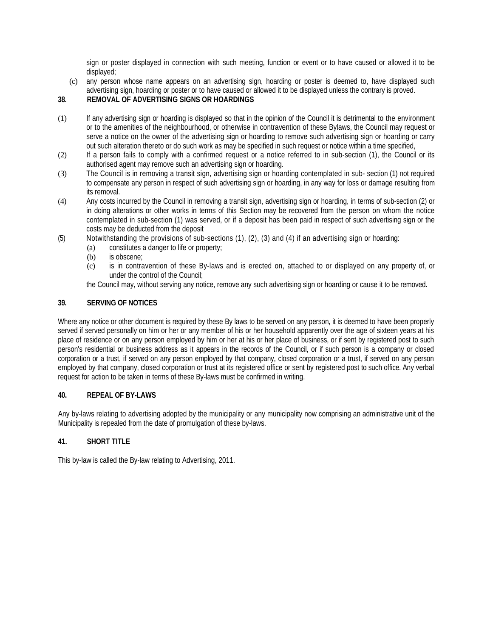sign or poster displayed in connection with such meeting, function or event or to have caused or allowed it to be displayed;

(c) any person whose name appears on an advertising sign, hoarding or poster is deemed to, have displayed such advertising sign, hoarding or poster or to have caused or allowed it to be displayed unless the contrary is proved.

# **38. REMOVAL OF ADVERTISING SIGNS OR HOARDINGS**

- (1) If any advertising sign or hoarding is displayed so that in the opinion of the Council it is detrimental to the environment or to the amenities of the neighbourhood, or otherwise in contravention of these Bylaws, the Council may request or serve a notice on the owner of the advertising sign or hoarding to remove such advertising sign or hoarding or carry out such alteration thereto or do such work as may be specified in such request or notice within a time specified,
- (2) If a person fails to comply with a confirmed request or a notice referred to in sub-section (1), the Council or its authorised agent may remove such an advertising sign or hoarding.
- (3) The Council is in removing a transit sign, advertising sign or hoarding contemplated in sub- section (1) not required to compensate any person in respect of such advertising sign or hoarding, in any way for loss or damage resulting from its removal.
- (4) Any costs incurred by the Council in removing a transit sign, advertising sign or hoarding, in terms of sub-section (2) or in doing alterations or other works in terms of this Section may be recovered from the person on whom the notice contemplated in sub-section (1) was served, or if a deposit has been paid in respect of such advertising sign or the costs may be deducted from the deposit
- (5) Notwithstanding the provisions of sub-sections (1), (2), (3) and (4) if an advertising sign or hoarding:
	- (a) constitutes a danger to life or property;
	- (b) is obscene;
	- (c) is in contravention of these By-laws and is erected on, attached to or displayed on any property of, or under the control of the Council;

the Council may, without serving any notice, remove any such advertising sign or hoarding or cause it to be removed.

## **39. SERVING OF NOTICES**

Where any notice or other document is required by these By laws to be served on any person, it is deemed to have been properly served if served personally on him or her or any member of his or her household apparently over the age of sixteen years at his place of residence or on any person employed by him or her at his or her place of business, or if sent by registered post to such person's residential or business address as it appears in the records of the Council, or if such person is a company or closed corporation or a trust, if served on any person employed by that company, closed corporation or a trust, if served on any person employed by that company, closed corporation or trust at its registered office or sent by registered post to such office. Any verbal request for action to be taken in terms of these By-laws must be confirmed in writing.

### **40. REPEAL OF BY-LAWS**

Any by-laws relating to advertising adopted by the municipality or any municipality now comprising an administrative unit of the Municipality is repealed from the date of promulgation of these by-laws.

# **41. SHORT TITLE**

This by-law is called the By-law relating to Advertising, 2011.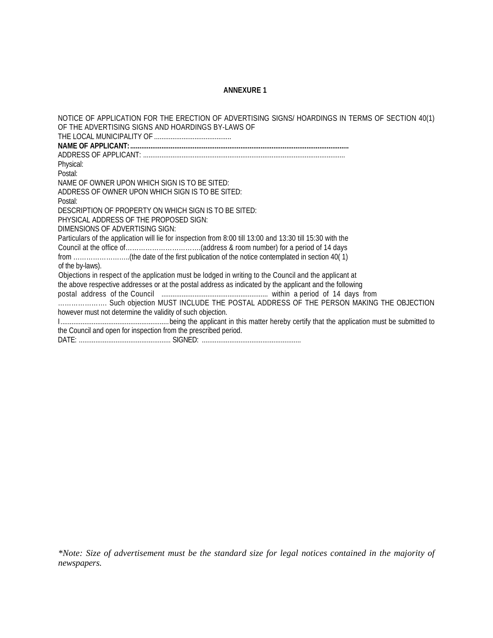### **ANNEXURE 1**

NOTICE OF APPLICATION FOR THE ERECTION OF ADVERTISING SIGNS/ HOARDINGS IN TERMS OF SECTION 40(1) OF THE ADVERTISING SIGNS AND HOARDINGS BY-LAWS OF THE LOCAL MUNICIPALITY OF .......................................... **NAME OF APPLICANT:.......................................................................................................................** ADDRESS OF APPLICANT: .............................................................................................................. Physical: Postal: NAME OF OWNER UPON WHICH SIGN IS TO BE SITED: ADDRESS OF OWNER UPON WHICH SIGN IS TO BE SITED: Postal: DESCRIPTION OF PROPERTY ON WHICH SIGN IS TO BE SITED: PHYSICAL ADDRESS OF THE PROPOSED SIGN: DIMENSIONS OF ADVERTISING SIGN: Particulars of the application will lie for inspection from 8:00 till 13:00 and 13:30 till 15:30 with the Council at the office of…………………………….(address & room number) for a period of 14 days from ……………………..(the date of the first publication of the notice contemplated in section 40( 1) of the by-laws). Objections in respect of the application must be lodged in writing to the Council and the applicant at the above respective addresses or at the postal address as indicated by the applicant and the following postal address of the Council .......................................................... within a period of 14 days from …………………. Such objection MUST INCLUDE THE POSTAL ADDRESS OF THE PERSON MAKING THE OBJECTION however must not determine the validity of such objection. I...........................................................being the applicant in this matter hereby certify that the application must be submitted to the Council and open for inspection from the prescribed period. DATE: .................................................. SIGNED: ......................................................

*\*Note: Size of advertisement must be the standard size for legal notices contained in the majority of newspapers.*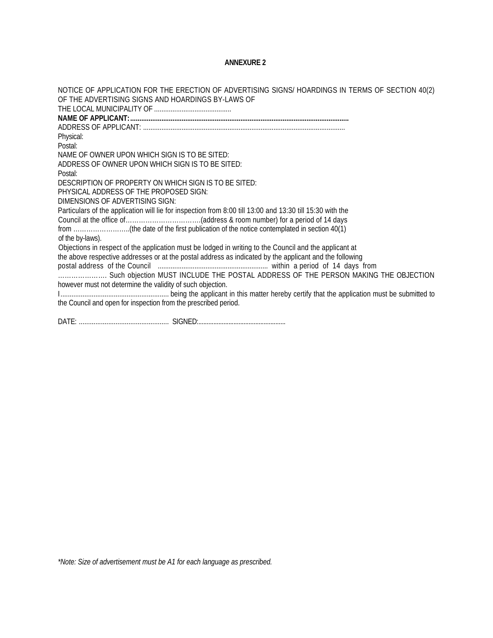### **ANNEXURE 2**

NOTICE OF APPLICATION FOR THE ERECTION OF ADVERTISING SIGNS/ HOARDINGS IN TERMS OF SECTION 40(2) OF THE ADVERTISING SIGNS AND HOARDINGS BY-LAWS OF THE LOCAL MUNICIPALITY OF .......................................... **NAME OF APPLICANT:.......................................................................................................................** ADDRESS OF APPLICANT: .............................................................................................................. Physical: Postal: NAME OF OWNER UPON WHICH SIGN IS TO BE SITED: ADDRESS OF OWNER UPON WHICH SIGN IS TO BE SITED: Postal: DESCRIPTION OF PROPERTY ON WHICH SIGN IS TO BE SITED: PHYSICAL ADDRESS OF THE PROPOSED SIGN: DIMENSIONS OF ADVERTISING SIGN: Particulars of the application will lie for inspection from 8:00 till 13:00 and 13:30 till 15:30 with the Council at the office of…………………………….(address & room number) for a period of 14 days from ……………………..(the date of the first publication of the notice contemplated in section 40(1) of the by-laws). Objections in respect of the application must be lodged in writing to the Council and the applicant at the above respective addresses or at the postal address as indicated by the applicant and the following postal address of the Council ............................................................ within a period of 14 days from …………………. Such objection MUST INCLUDE THE POSTAL ADDRESS OF THE PERSON MAKING THE OBJECTION however must not determine the validity of such objection. I........................................................... being the applicant in this matter hereby certify that the application must be submitted to the Council and open for inspection from the prescribed period.

DATE: ................................................. SIGNED:....................................................